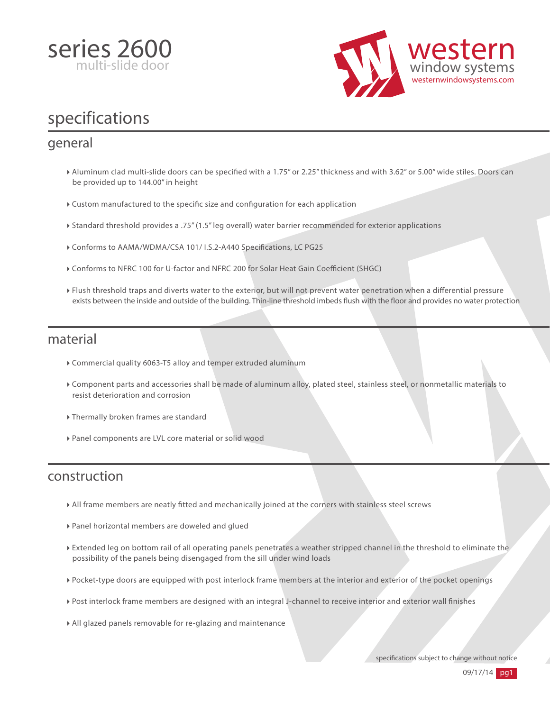



# specifications

#### general

- > Aluminum clad multi-slide doors can be specified with a 1.75" or 2.25" thickness and with 3.62" or 5.00" wide stiles. Doors can be provided up to 144.00" in height
- $\triangleright$  Custom manufactured to the specific size and configuration for each application
- Standard threshold provides a .75" (1.5" leg overall) water barrier recommended for exterior applications
- Conforms to AAMA/WDMA/CSA 101/ I.S.2-A440 Specifications, LC PG25
- $\triangleright$  Conforms to NFRC 100 for U-factor and NFRC 200 for Solar Heat Gain Coefficient (SHGC)
- Flush threshold traps and diverts water to the exterior, but will not prevent water penetration when a differential pressure exists between the inside and outside of the building. Thin-line threshold imbeds flush with the floor and provides no water protection

#### material

- Commercial quality 6063-T5 alloy and temper extruded aluminum
- Component parts and accessories shall be made of aluminum alloy, plated steel, stainless steel, or nonmetallic materials to resist deterioration and corrosion
- Thermally broken frames are standard
- Panel components are LVL core material or solid wood

#### construction

- All frame members are neatly tted and mechanically joined at the corners with stainless steel screws
- Panel horizontal members are doweled and glued
- Extended leg on bottom rail of all operating panels penetrates a weather stripped channel in the threshold to eliminate the possibility of the panels being disengaged from the sill under wind loads
- Pocket-type doors are equipped with post interlock frame members at the interior and exterior of the pocket openings
- Post interlock frame members are designed with an integral J-channel to receive interior and exterior wall finishes
- All glazed panels removable for re-glazing and maintenance

specifications subject to change without notice

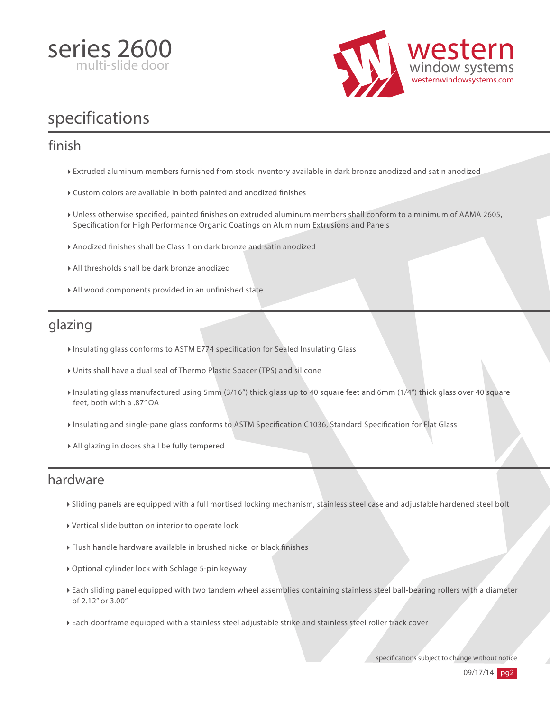



# specifications

### finish

- Extruded aluminum members furnished from stock inventory available in dark bronze anodized and satin anodized
- Custom colors are available in both painted and anodized finishes
- I Unless otherwise specified, painted finishes on extruded aluminum members shall conform to a minimum of AAMA 2605, Specification for High Performance Organic Coatings on Aluminum Extrusions and Panels
- Anodized finishes shall be Class 1 on dark bronze and satin anodized
- All thresholds shall be dark bronze anodized
- $\triangleright$  All wood components provided in an unfinished state

## glazing

- Insulating glass conforms to ASTM E774 specification for Sealed Insulating Glass
- Units shall have a dual seal of Thermo Plastic Spacer (TPS) and silicone
- Insulating glass manufactured using 5mm (3/16") thick glass up to 40 square feet and 6mm (1/4") thick glass over 40 square feet, both with a .87" OA
- Insulating and single-pane glass conforms to ASTM Specification C1036, Standard Specification for Flat Glass
- All glazing in doors shall be fully tempered

#### hardware

- Sliding panels are equipped with a full mortised locking mechanism, stainless steel case and adjustable hardened steel bolt
- Vertical slide button on interior to operate lock
- $\triangleright$  Flush handle hardware available in brushed nickel or black finishes
- Optional cylinder lock with Schlage 5-pin keyway
- Each sliding panel equipped with two tandem wheel assemblies containing stainless steel ball-bearing rollers with a diameter of 2.12" or 3.00"
- Each doorframe equipped with a stainless steel adjustable strike and stainless steel roller track cover

specifications subject to change without notice